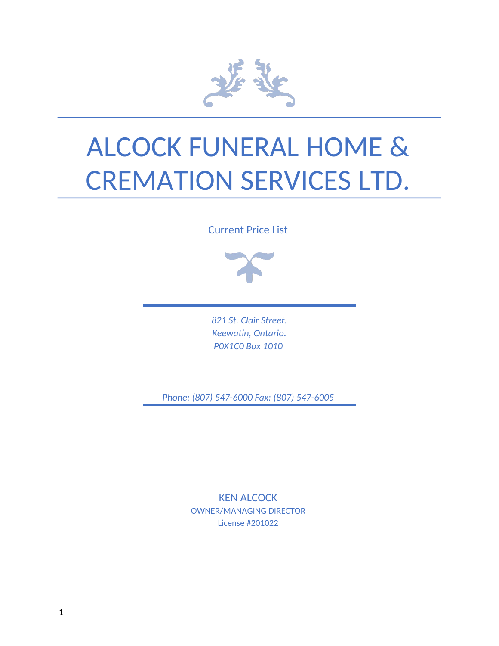

# ALCOCK FUNERAL HOME & CREMATION SERVICES LTD.

Current Price List



*821 St. Clair Street. Keewatin, Ontario. P0X1C0 Box 1010* 

*Phone: (807) 547-6000 Fax: (807) 547-6005* 

KEN ALCOCK OWNER/MANAGING DIRECTOR License #201022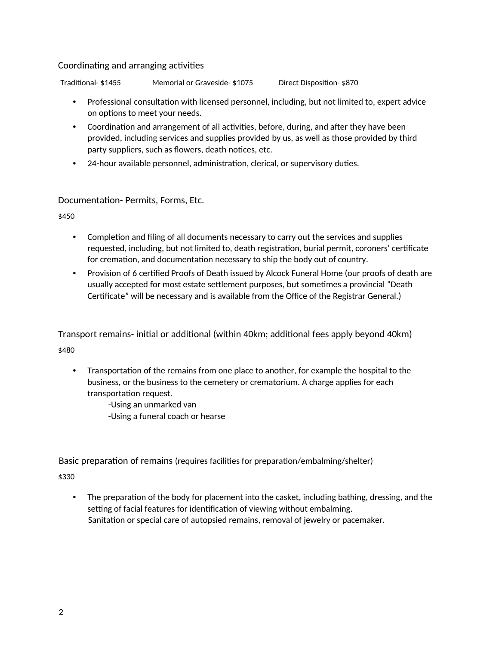#### Coordinating and arranging activities

Traditional- \$1455 Memorial or Graveside- \$1075 Direct Disposition- \$870

- Professional consultation with licensed personnel, including, but not limited to, expert advice on options to meet your needs.
- Coordination and arrangement of all activities, before, during, and after they have been provided, including services and supplies provided by us, as well as those provided by third party suppliers, such as flowers, death notices, etc.
- 24-hour available personnel, administration, clerical, or supervisory duties.

### Documentation- Permits, Forms, Etc.

\$450

- Completion and filing of all documents necessary to carry out the services and supplies requested, including, but not limited to, death registration, burial permit, coroners' certificate for cremation, and documentation necessary to ship the body out of country.
- Provision of 6 certified Proofs of Death issued by Alcock Funeral Home (our proofs of death are usually accepted for most estate settlement purposes, but sometimes a provincial "Death Certificate" will be necessary and is available from the Office of the Registrar General.)

Transport remains- initial or additional (within 40km; additional fees apply beyond 40km) \$480

• Transportation of the remains from one place to another, for example the hospital to the business, or the business to the cemetery or crematorium. A charge applies for each transportation request.

> -Using an unmarked van -Using a funeral coach or hearse

Basic preparation of remains (requires facilities for preparation/embalming/shelter)

\$330

The preparation of the body for placement into the casket, including bathing, dressing, and the setting of facial features for identification of viewing without embalming. Sanitation or special care of autopsied remains, removal of jewelry or pacemaker.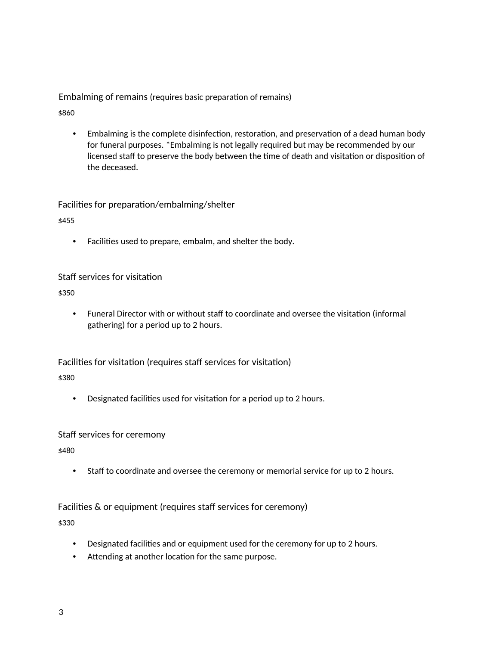Embalming of remains (requires basic preparation of remains)

\$860

• Embalming is the complete disinfection, restoration, and preservation of a dead human body for funeral purposes. \*Embalming is not legally required but may be recommended by our licensed staff to preserve the body between the time of death and visitation or disposition of the deceased.

Facilities for preparation/embalming/shelter

\$455

• Facilities used to prepare, embalm, and shelter the body.

### Staff services for visitation

\$350

• Funeral Director with or without staff to coordinate and oversee the visitation (informal gathering) for a period up to 2 hours.

Facilities for visitation (requires staff services for visitation)

\$380

• Designated facilities used for visitation for a period up to 2 hours.

#### Staff services for ceremony

\$480

• Staff to coordinate and oversee the ceremony or memorial service for up to 2 hours.

### Facilities & or equipment (requires staff services for ceremony)

\$330

- Designated facilities and or equipment used for the ceremony for up to 2 hours.
- Attending at another location for the same purpose.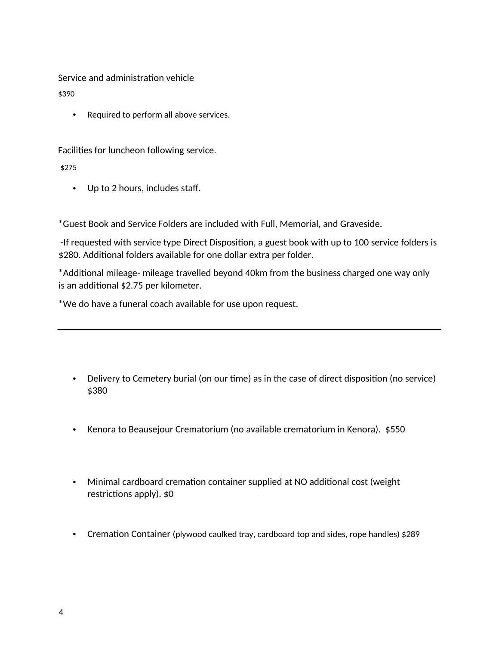Service and administration vehicle

\$390

• Required to perform all above services.

Facilities for luncheon following service.

\$275

• Up to 2 hours, includes staff.

\*Guest Book and Service Folders are included with Full, Memorial, and Graveside.

 -If requested with service type Direct Disposition, a guest book with up to 100 service folders is \$280. Additional folders available for one dollar extra per folder.

\*Additional mileage- mileage travelled beyond 40km from the business charged one way only is an additional \$2.75 per kilometer.

\*We do have a funeral coach available for use upon request.

- Delivery to Cemetery burial (on our time) as in the case of direct disposition (no service) \$380
- Kenora to Beausejour Crematorium (no available crematorium in Kenora). \$550
- Minimal cardboard cremation container supplied at NO additional cost (weight restrictions apply). \$0
- Cremation Container (plywood caulked tray, cardboard top and sides, rope handles) \$289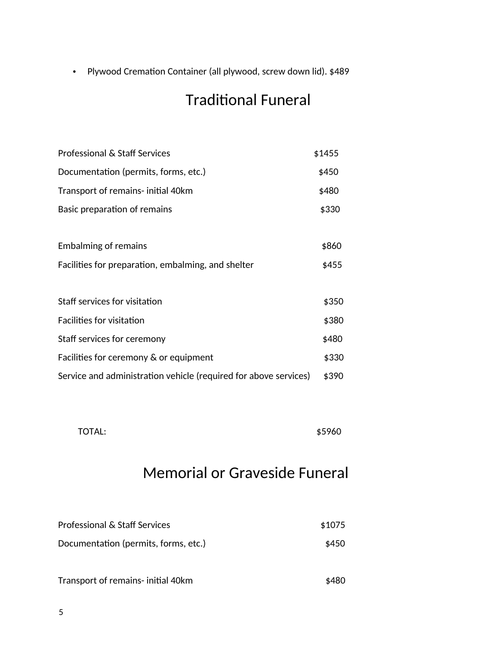• Plywood Cremation Container (all plywood, screw down lid). \$489

# Traditional Funeral

| Professional & Staff Services                                    | \$1455 |
|------------------------------------------------------------------|--------|
| Documentation (permits, forms, etc.)                             | \$450  |
| Transport of remains- initial 40km                               | \$480  |
| Basic preparation of remains                                     | \$330  |
|                                                                  |        |
| <b>Embalming of remains</b>                                      | \$860  |
| Facilities for preparation, embalming, and shelter               | \$455  |
|                                                                  |        |
| Staff services for visitation                                    | \$350  |
| <b>Facilities for visitation</b>                                 | \$380  |
| Staff services for ceremony                                      | \$480  |
| Facilities for ceremony & or equipment                           | \$330  |
| Service and administration vehicle (required for above services) | \$390  |

 $\text{TOTAL:}$   $\text{\$5960}$ 

# Memorial or Graveside Funeral

| Professional & Staff Services        | \$1075 |
|--------------------------------------|--------|
| Documentation (permits, forms, etc.) | \$450  |
| Transport of remains- initial 40km   | \$480  |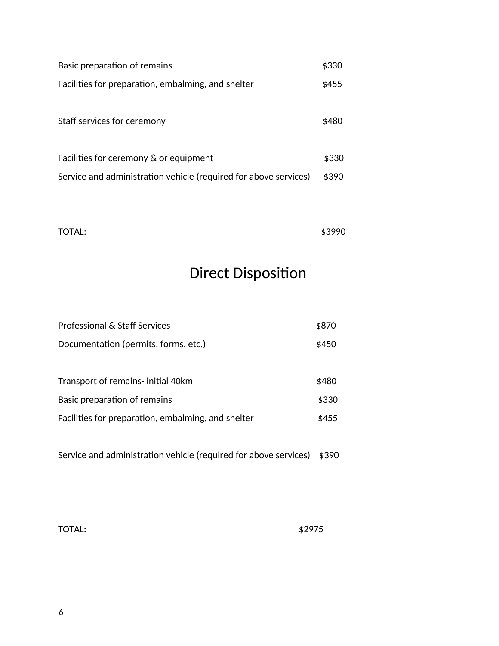| Basic preparation of remains                                     | \$330 |
|------------------------------------------------------------------|-------|
| Facilities for preparation, embalming, and shelter               | \$455 |
|                                                                  |       |
| Staff services for ceremony                                      | \$480 |
|                                                                  |       |
| Facilities for ceremony & or equipment                           | \$330 |
| Service and administration vehicle (required for above services) | \$390 |

 $\text{TOTAL:}$   $\text{\$3990}$ 

# Direct Disposition

| Professional & Staff Services                      | \$870 |
|----------------------------------------------------|-------|
| Documentation (permits, forms, etc.)               | \$450 |
|                                                    |       |
| Transport of remains- initial 40km                 | \$480 |
| Basic preparation of remains                       | \$330 |
| Facilities for preparation, embalming, and shelter | \$455 |
|                                                    |       |

Service and administration vehicle (required for above services) \$390

TOTAL: \$2975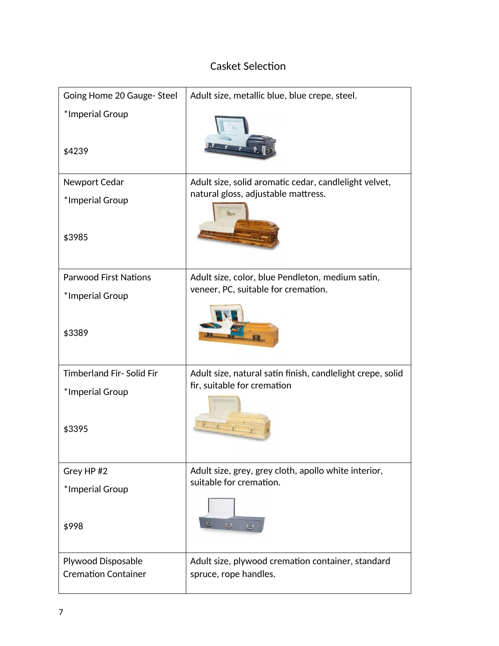## Casket Selection

| Going Home 20 Gauge- Steel   | Adult size, metallic blue, blue crepe, steel.              |
|------------------------------|------------------------------------------------------------|
| *Imperial Group              |                                                            |
| \$4239                       |                                                            |
| Newport Cedar                | Adult size, solid aromatic cedar, candlelight velvet,      |
| *Imperial Group              | natural gloss, adjustable mattress.                        |
| \$3985                       |                                                            |
| <b>Parwood First Nations</b> | Adult size, color, blue Pendleton, medium satin,           |
| *Imperial Group              | veneer, PC, suitable for cremation.                        |
| \$3389                       |                                                            |
| Timberland Fir-Solid Fir     | Adult size, natural satin finish, candlelight crepe, solid |
| *Imperial Group              | fir, suitable for cremation                                |
| \$3395                       |                                                            |
| Grey HP #2                   | Adult size, grey, grey cloth, apollo white interior,       |
| *Imperial Group              | suitable for cremation.                                    |
| \$998                        |                                                            |
| <b>Plywood Disposable</b>    | Adult size, plywood cremation container, standard          |
| <b>Cremation Container</b>   | spruce, rope handles.                                      |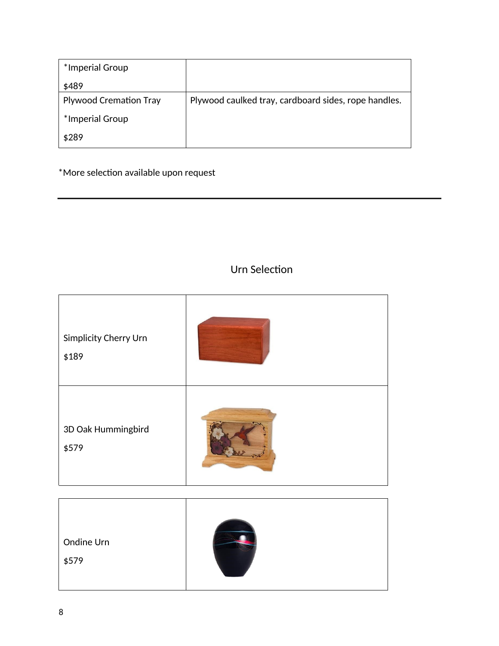| *Imperial Group               |                                                      |
|-------------------------------|------------------------------------------------------|
| \$489                         |                                                      |
| <b>Plywood Cremation Tray</b> | Plywood caulked tray, cardboard sides, rope handles. |
| *Imperial Group               |                                                      |
| \$289                         |                                                      |

\*More selection available upon request

### Urn Selection

| Simplicity Cherry Urn<br>\$189 |  |
|--------------------------------|--|
| 3D Oak Hummingbird<br>\$579    |  |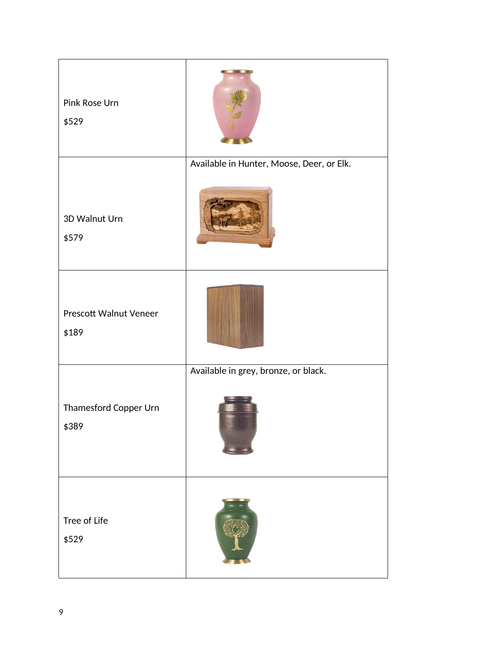| Pink Rose Urn<br>\$529                 |                                           |
|----------------------------------------|-------------------------------------------|
| 3D Walnut Urn<br>\$579                 | Available in Hunter, Moose, Deer, or Elk. |
| <b>Prescott Walnut Veneer</b><br>\$189 |                                           |
| Thamesford Copper Urn<br>\$389         | Available in grey, bronze, or black.      |
| Tree of Life<br>\$529                  |                                           |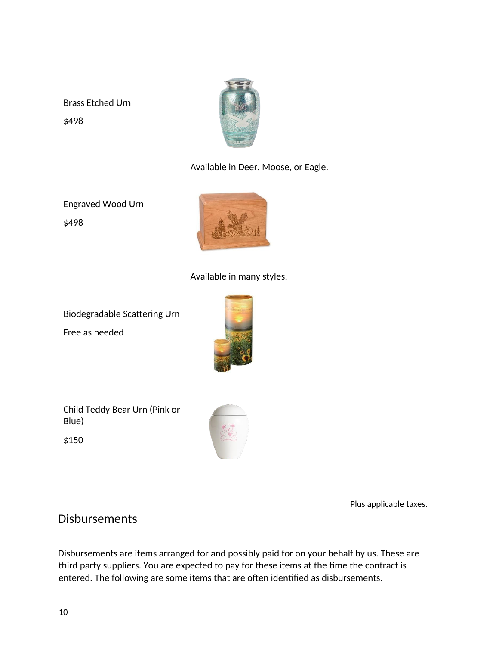| <b>Brass Etched Urn</b><br>\$498                |                                     |
|-------------------------------------------------|-------------------------------------|
| Engraved Wood Urn<br>\$498                      | Available in Deer, Moose, or Eagle. |
| Biodegradable Scattering Urn<br>Free as needed  | Available in many styles.           |
| Child Teddy Bear Urn (Pink or<br>Blue)<br>\$150 |                                     |

Plus applicable taxes.

# Disbursements

Disbursements are items arranged for and possibly paid for on your behalf by us. These are third party suppliers. You are expected to pay for these items at the time the contract is entered. The following are some items that are often identified as disbursements.